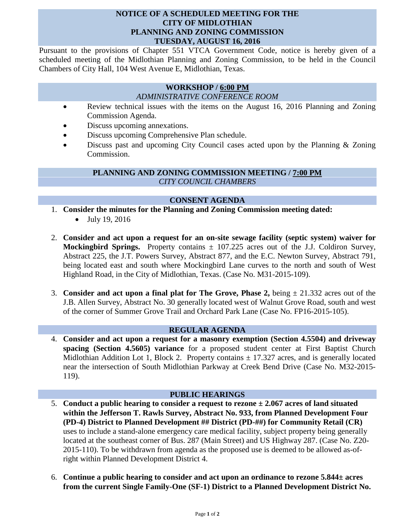### **NOTICE OF A SCHEDULED MEETING FOR THE CITY OF MIDLOTHIAN PLANNING AND ZONING COMMISSION TUESDAY, AUGUST 16, 2016**

Pursuant to the provisions of Chapter 551 VTCA Government Code, notice is hereby given of a scheduled meeting of the Midlothian Planning and Zoning Commission, to be held in the Council Chambers of City Hall, 104 West Avenue E, Midlothian, Texas.

#### **WORKSHOP / 6:00 PM** *ADMINISTRATIVE CONFERENCE ROOM*

- Review technical issues with the items on the August 16, 2016 Planning and Zoning Commission Agenda.
- Discuss upcoming annexations.
- Discuss upcoming Comprehensive Plan schedule.
- Discuss past and upcoming City Council cases acted upon by the Planning & Zoning Commission.

## **PLANNING AND ZONING COMMISSION MEETING / 7:00 PM** *CITY COUNCIL CHAMBERS*

# **CONSENT AGENDA**

- 1. **Consider the minutes for the Planning and Zoning Commission meeting dated:**  • July 19, 2016
- 2. **Consider and act upon a request for an on-site sewage facility (septic system) waiver for Mockingbird Springs.** Property contains  $\pm$  107.225 acres out of the J.J. Coldiron Survey, Abstract 225, the J.T. Powers Survey, Abstract 877, and the E.C. Newton Survey, Abstract 791, being located east and south where Mockingbird Lane curves to the north and south of West Highland Road, in the City of Midlothian, Texas. (Case No. M31-2015-109).
- 3. **Consider and act upon a final plat for The Grove, Phase 2,** being ± 21.332 acres out of the J.B. Allen Survey, Abstract No. 30 generally located west of Walnut Grove Road, south and west of the corner of Summer Grove Trail and Orchard Park Lane (Case No. FP16-2015-105).

### **REGULAR AGENDA**

4. **Consider and act upon a request for a masonry exemption (Section 4.5504) and driveway spacing (Section 4.5605) variance** for a proposed student center at First Baptist Church Midlothian Addition Lot 1, Block 2. Property contains  $\pm$  17.327 acres, and is generally located near the intersection of South Midlothian Parkway at Creek Bend Drive (Case No. M32-2015- 119).

### **PUBLIC HEARINGS**

- 5. **Conduct a public hearing to consider a request to rezone ± 2.067 acres of land situated within the Jefferson T. Rawls Survey, Abstract No. 933, from Planned Development Four (PD-4) District to Planned Development ## District (PD-##) for Community Retail (CR)** uses to include a stand-alone emergency care medical facility, subject property being generally located at the southeast corner of Bus. 287 (Main Street) and US Highway 287. (Case No. Z20- 2015-110). To be withdrawn from agenda as the proposed use is deemed to be allowed as-ofright within Planned Development District 4.
- 6. **Continue a public hearing to consider and act upon an ordinance to rezone 5.844± acres from the current Single Family-One (SF-1) District to a Planned Development District No.**